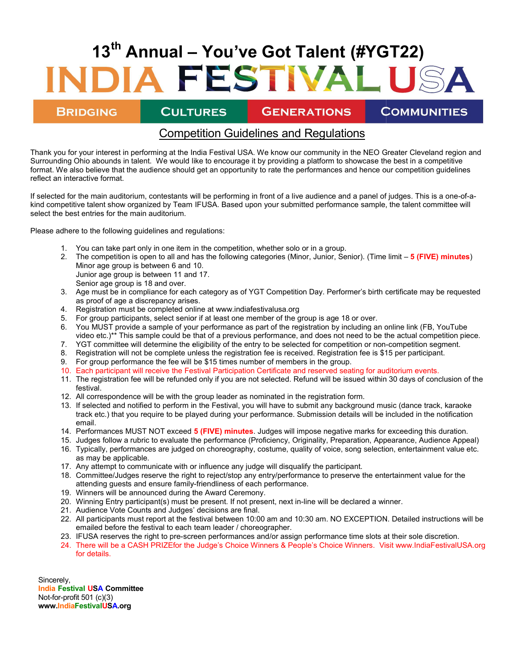# 13<sup>th</sup> Annual – You've Got Talent (#YGT22) IA FESTIVAL USA

**BRIDGING** 

**CULTURES GENERATIONS**  **COMMUNITIES** 

## Competition Competition Guidelines and Regulations

Thank you for your interest in performing at the India Festival USA. We know our community in the NEO Greater Cleveland region and Surrounding Ohio abounds in talent. We would like to encourage it by providing a platform to showcase the best in a competitive format. We also believe that the audience should get an opportunity to rate the performances and hence our competition guidelines reflect an interactive format.

If selected for the main auditorium, contestants will be performing in front of a live audience and a panel of judges. This is a one-of-akind competitive talent show organized by Team IFUSA. Based upon your submitted performance sample, the talent committee will select the best entries for the main auditorium.

Please adhere to the following guidelines and regulations:

- 1. You can take part only in one item in the competition, whether solo or in a group.
- 2. The competition is open to all and has the following categories (Minor, Junior, Senior). (Time limit 5 (FIVE) minutes) Minor age group is between 6 and 10. Junior age group is between 11 and 17.
- Senior age group is 18 and over.
- 3. Age must be in compliance for each category as of YGT Competition Day. Performer's birth certificate may be requested as proof of age a discrepancy arises.
- 4. Registration must be completed online at www.indiafestivalusa.org
- 5. For group participants, select senior if at least one member of the group is age 18 or over.
- 6. You MUST provide a sample of your performance as part of the registration by including an online link (FB, YouTube video etc.)\*\* This sample could be that of a previous performance, and does not need to be the actual competition piece.
- 7. YGT committee will determine the eligibility of the entry to be selected for competition or non-competition segment.
- 8. Registration will not be complete unless the registration fee is received. Registration fee is \$15 per participant.
- 9. For group performance the fee will be \$15 times number of members in the group.
- 10. Each participant will receive the Festival Participation Certificate and reserved seating for auditorium events.
- 11. The registration fee will be refunded only if you are not selected. Refund will be issued within 30 days of conclusion of the festival.
- 12. All correspondence will be with the group leader as nominated in the registration form.
- 13. If selected and notified to perform in the Festival, you will have to submit any background music (dance track, karaoke track etc.) that you require to be played during your performance. Submission details will be included in the notification email.
- 14. Performances MUST NOT exceed 5 (FIVE) minutes. Judges will impose negative marks for exceeding this duration.
- 15. Judges follow a rubric to evaluate the performance (Proficiency, Originality, Preparation, Appearance, Audience Appeal)
- 16. Typically, performances are judged on choreography, costume, quality of voice, song selection, entertainment value etc. as may be applicable.
- 17. Any attempt to communicate with or influence any judge will disqualify the participant.
- 18. Committee/Judges reserve the right to reject/stop any entry/performance to preserve the entertainment value for the attending guests and ensure family-friendliness of each performance.
- 19. Winners will be announced during the Award Ceremony.
- 20. Winning Entry participant(s) must be present. If not present, next in-line will be declared a winner.
- 21. Audience Vote Counts and Judges' decisions are final.
- 22. All participants must report at the festival between 10:00 am and 10:30 am. NO EXCEPTION. Detailed instructions will be emailed before the festival to each team leader / choreographer.
- 23. IFUSA reserves the right to pre-screen performances and/or assign performance time slots at their sole discretion.
- 24. There will be a CASH PRIZEfor the Judge's Choice Winners & People's Choice Winners. Visit www.IndiaFestivalUSA.org for details.

Sincerely, India Festival USA Committee Not-for-profit 501 (c)(3) www.IndiaFestivalUSA.org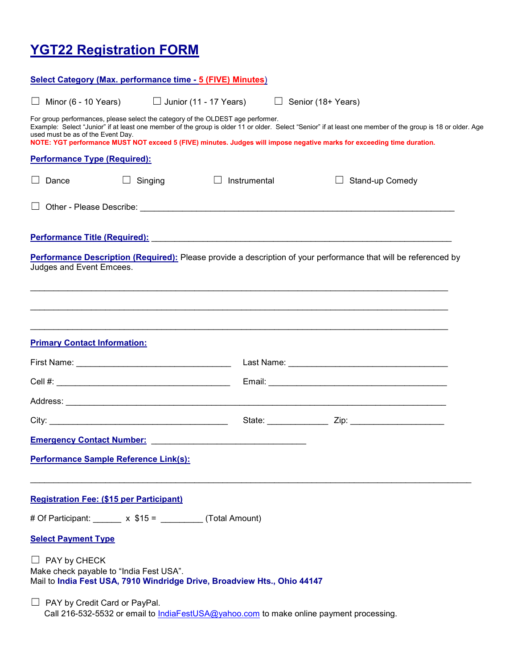# YGT22 Registration FORM

| Select Category (Max. performance time - 5 (FIVE) Minutes)                                                                                                                                                                                                                                                                                                                                                   |                               |              |                    |  |
|--------------------------------------------------------------------------------------------------------------------------------------------------------------------------------------------------------------------------------------------------------------------------------------------------------------------------------------------------------------------------------------------------------------|-------------------------------|--------------|--------------------|--|
| Minor (6 - 10 Years)                                                                                                                                                                                                                                                                                                                                                                                         | $\Box$ Junior (11 - 17 Years) |              | Senior (18+ Years) |  |
| For group performances, please select the category of the OLDEST age performer.<br>Example: Select "Junior" if at least one member of the group is older 11 or older. Select "Senior" if at least one member of the group is 18 or older. Age<br>used must be as of the Event Day.<br>NOTE: YGT performance MUST NOT exceed 5 (FIVE) minutes. Judges will impose negative marks for exceeding time duration. |                               |              |                    |  |
| <b>Performance Type (Required):</b>                                                                                                                                                                                                                                                                                                                                                                          |                               |              |                    |  |
| Dance                                                                                                                                                                                                                                                                                                                                                                                                        | Singing                       | Instrumental | Stand-up Comedy    |  |
|                                                                                                                                                                                                                                                                                                                                                                                                              |                               |              |                    |  |
| Performance Title (Required): Network and the contract of the contract of the contract of the contract of the contract of the contract of the contract of the contract of the contract of the contract of the contract of the                                                                                                                                                                                |                               |              |                    |  |
| Performance Description (Required): Please provide a description of your performance that will be referenced by<br>Judges and Event Emcees.                                                                                                                                                                                                                                                                  |                               |              |                    |  |
| <b>Primary Contact Information:</b>                                                                                                                                                                                                                                                                                                                                                                          |                               |              |                    |  |
|                                                                                                                                                                                                                                                                                                                                                                                                              |                               |              |                    |  |
|                                                                                                                                                                                                                                                                                                                                                                                                              |                               |              |                    |  |
|                                                                                                                                                                                                                                                                                                                                                                                                              |                               |              |                    |  |
|                                                                                                                                                                                                                                                                                                                                                                                                              |                               |              | State: Zip: Zip:   |  |
|                                                                                                                                                                                                                                                                                                                                                                                                              |                               |              |                    |  |
| Performance Sample Reference Link(s):                                                                                                                                                                                                                                                                                                                                                                        |                               |              |                    |  |
| <b>Registration Fee: (\$15 per Participant)</b>                                                                                                                                                                                                                                                                                                                                                              |                               |              |                    |  |
| # Of Participant: x \$15 = (Total Amount)                                                                                                                                                                                                                                                                                                                                                                    |                               |              |                    |  |
| <b>Select Payment Type</b>                                                                                                                                                                                                                                                                                                                                                                                   |                               |              |                    |  |
| $\Box$ PAY by CHECK<br>Make check payable to "India Fest USA".<br>Mail to India Fest USA, 7910 Windridge Drive, Broadview Hts., Ohio 44147                                                                                                                                                                                                                                                                   |                               |              |                    |  |
| $\Box$ PAY by Credit Card or PayPal.<br>Call 216-532-5532 or email to IndiaFestUSA@yahoo.com to make online payment processing.                                                                                                                                                                                                                                                                              |                               |              |                    |  |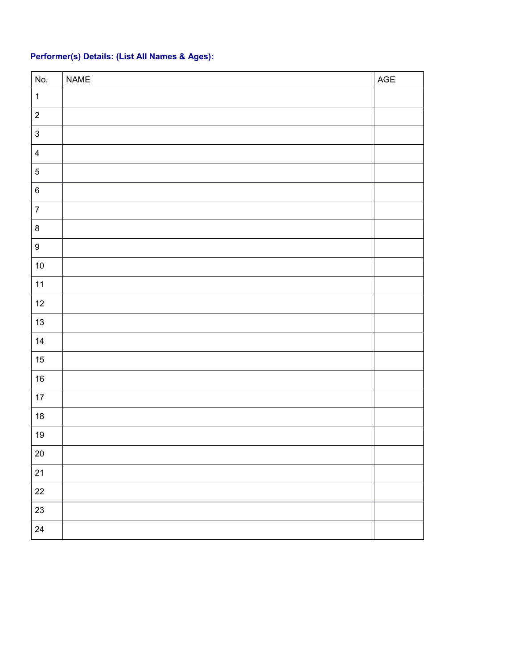### Performer(s) Details: (List All Names & Ages):

| No.              | $\sf NAME$ | $\mathsf{AGE}$ |
|------------------|------------|----------------|
| $\mathbf{1}$     |            |                |
| $\overline{2}$   |            |                |
| $\mathbf{3}$     |            |                |
| $\overline{4}$   |            |                |
| $\sqrt{5}$       |            |                |
| $\,6\,$          |            |                |
| $\overline{7}$   |            |                |
| $\bf 8$          |            |                |
| $\boldsymbol{9}$ |            |                |
| $10$             |            |                |
| $11$             |            |                |
| 12               |            |                |
| 13               |            |                |
| 14               |            |                |
| $15\,$           |            |                |
| $16\,$           |            |                |
| $17\,$           |            |                |
| 18               |            |                |
| 19               |            |                |
| 20               |            |                |
| 21               |            |                |
| 22               |            |                |
| 23               |            |                |
| 24               |            |                |